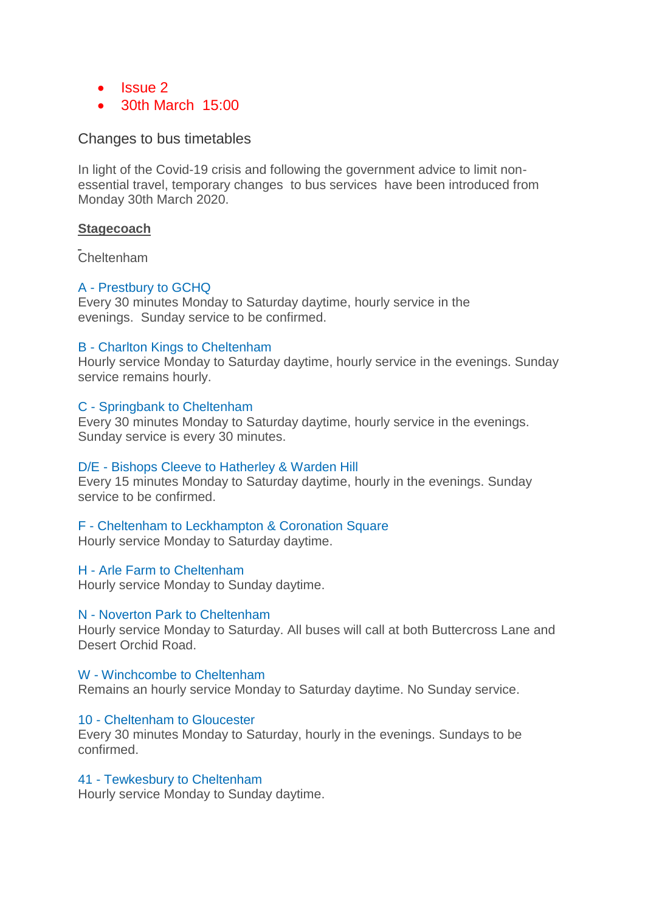- $\cdot$  Issue 2
- 30th March 15:00

# Changes to bus timetables

In light of the Covid-19 crisis and following the government advice to limit nonessential travel, temporary changes to bus services have been introduced from Monday 30th March 2020.

## **Stagecoach**

Cheltenham

# A - [Prestbury to GCHQ](https://tiscon-maps-stagecoachbus.s3.amazonaws.com/Timetables/West/Temporary/A.pdf)

Every 30 minutes Monday to Saturday daytime, hourly service in the evenings. Sunday service to be confirmed.

## B - [Charlton Kings to Cheltenham](https://tiscon-maps-stagecoachbus.s3.amazonaws.com/Timetables/West/Temporary/B.pdf)

Hourly service Monday to Saturday daytime, hourly service in the evenings. Sunday service remains hourly.

# C - [Springbank to Cheltenham](https://tiscon-maps-stagecoachbus.s3.amazonaws.com/Timetables/West/Temporary/C.pdf)

Every 30 minutes Monday to Saturday daytime, hourly service in the evenings. Sunday service is every 30 minutes.

## D/E - [Bishops Cleeve to Hatherley & Warden Hill](https://tiscon-maps-stagecoachbus.s3.amazonaws.com/Timetables/West/Temporary/DE.pdf)

Every 15 minutes Monday to Saturday daytime, hourly in the evenings. Sunday service to be confirmed.

# F - [Cheltenham to Leckhampton & Coronation Square](https://tiscon-maps-stagecoachbus.s3.amazonaws.com/Timetables/West/Temporary/F.pdf)

Hourly service Monday to Saturday daytime.

## H - [Arle Farm to Cheltenham](https://tiscon-maps-stagecoachbus.s3.amazonaws.com/Timetables/West/Temporary/H.pdf)

Hourly service Monday to Sunday daytime.

## N - [Noverton Park to Cheltenham](https://tiscon-maps-stagecoachbus.s3.amazonaws.com/Timetables/West/Temporary/N.pdf)

Hourly service Monday to Saturday. All buses will call at both Buttercross Lane and Desert Orchid Road.

# W - [Winchcombe to Cheltenham](https://tiscon-maps-stagecoachbus.s3.amazonaws.com/Timetables/West/Temporary/W.pdf)

Remains an hourly service Monday to Saturday daytime. No Sunday service.

## 10 - [Cheltenham to Gloucester](https://tiscon-maps-stagecoachbus.s3.amazonaws.com/Timetables/West/Temporary/10%20Glos%20.pdf)

Every 30 minutes Monday to Saturday, hourly in the evenings. Sundays to be confirmed.

# 41 - [Tewkesbury to Cheltenham](https://tiscon-maps-stagecoachbus.s3.amazonaws.com/Timetables/West/Temporary/41.pdf)

Hourly service Monday to Sunday daytime.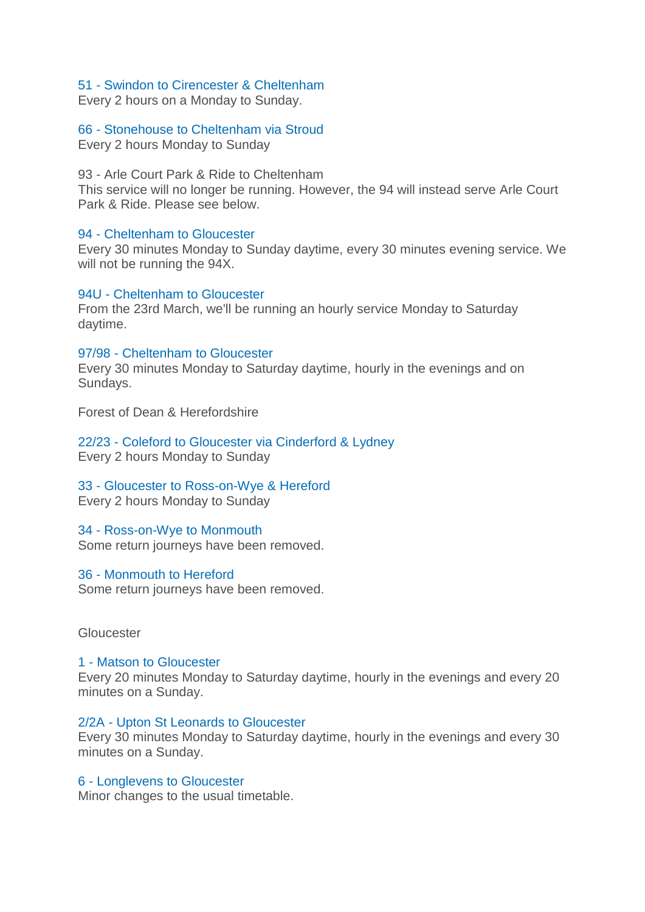## 51 - [Swindon to Cirencester & Cheltenham](https://tiscon-maps-stagecoachbus.s3.amazonaws.com/Timetables/West/Temporary/51.pdf)

Every 2 hours on a Monday to Sunday.

## 66 - [Stonehouse to Cheltenham via Stroud](https://tiscon-maps-stagecoachbus.s3.amazonaws.com/Timetables/West/Temporary/64.pdf)

Every 2 hours Monday to Sunday

93 - Arle Court Park & Ride to Cheltenham

This service will no longer be running. However, the 94 will instead serve Arle Court Park & Ride. Please see below.

#### 94 - [Cheltenham to Gloucester](https://tiscon-maps-stagecoachbus.s3.amazonaws.com/Timetables/West/Temporary/94.pdf)

Every 30 minutes Monday to Sunday daytime, every 30 minutes evening service. We will not be running the 94X.

# 94U - [Cheltenham to Gloucester](https://tiscon-maps-stagecoachbus.s3.amazonaws.com/Timetables/West/Temporary/94u.pdf)

From the 23rd March, we'll be running an hourly service Monday to Saturday daytime.

#### 97/98 - [Cheltenham to Gloucester](https://tiscon-maps-stagecoachbus.s3.amazonaws.com/Timetables/West/Temporary/9798.pdf)

Every 30 minutes Monday to Saturday daytime, hourly in the evenings and on Sundays.

Forest of Dean & Herefordshire

22/23 - [Coleford to Gloucester via Cinderford & Lydney](https://tiscon-maps-stagecoachbus.s3.amazonaws.com/Timetables/West/Temporary/2223.pdf) Every 2 hours Monday to Sunday

33 - [Gloucester to Ross-on-Wye](https://tiscon-maps-stagecoachbus.s3.amazonaws.com/Timetables/West/Temporary/33.pdf) [& Hereford](https://tiscon-maps-stagecoachbus.s3.amazonaws.com/Timetables/West/Temporary/33.pdf) Every 2 hours Monday to Sunday

## 34 - [Ross-on-Wye to Monmouth](https://tiscon-maps-stagecoachbus.s3.amazonaws.com/Timetables/West/Temporary/3436.pdf)

Some return journeys have been removed.

#### 36 - [Monmouth to Hereford](https://tiscon-maps-stagecoachbus.s3.amazonaws.com/Timetables/West/Temporary/3436.pdf)

Some return journeys have been removed.

#### **Gloucester**

1 - [Matson to Gloucester](https://tiscon-maps-stagecoachbus.s3.amazonaws.com/Timetables/West/Temporary/1.pdf) Every 20 minutes Monday to Saturday daytime, hourly in the evenings and every 20 minutes on a Sunday.

## 2/2A - [Upton St Leonards to Gloucester](https://tiscon-maps-stagecoachbus.s3.amazonaws.com/Timetables/West/Temporary/2.pdf)

Every 30 minutes Monday to Saturday daytime, hourly in the evenings and every 30 minutes on a Sunday.

## 6 - [Longlevens to Gloucester](https://tiscon-maps-stagecoachbus.s3.amazonaws.com/Timetables/West/Temporary/611351.pdf)

Minor changes to the usual timetable.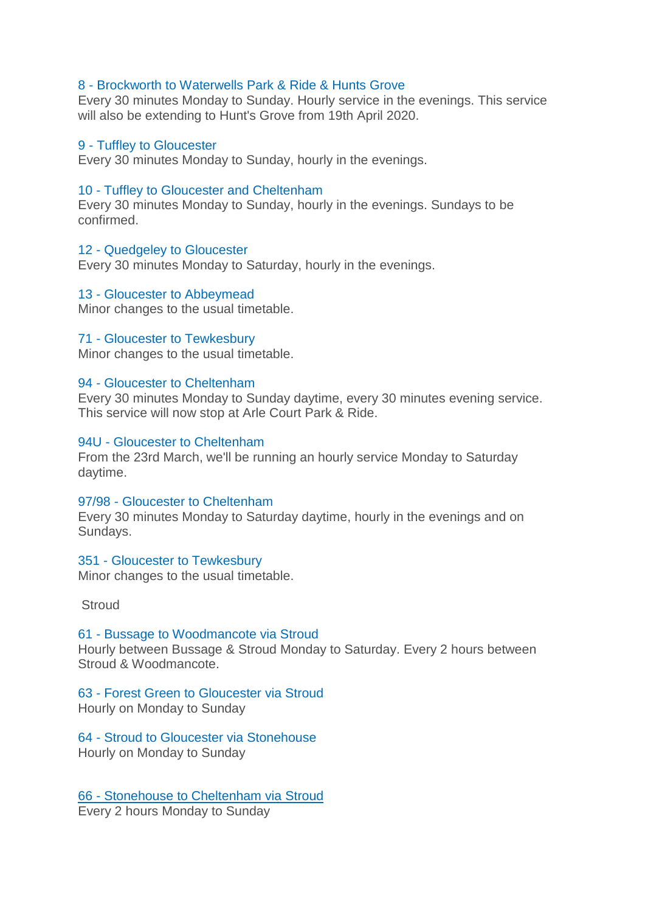## 8 - [Brockworth to Waterwells Park & Ride & Hunts Grove](https://tiscon-maps-stagecoachbus.s3.amazonaws.com/Timetables/West/Temporary/8.pdf)

Every 30 minutes Monday to Sunday. Hourly service in the evenings. This service will also be extending to Hunt's Grove from 19th April 2020.

#### 9 - [Tuffley to Gloucester](https://tiscon-maps-stagecoachbus.s3.amazonaws.com/Timetables/West/Temporary/9Timetable.pdf)

Every 30 minutes Monday to Sunday, hourly in the evenings.

#### 10 - [Tuffley to Gloucester and Cheltenham](https://tiscon-maps-stagecoachbus.s3.amazonaws.com/Timetables/West/Temporary/10%20Glos%20.pdf)

Every 30 minutes Monday to Sunday, hourly in the evenings. Sundays to be confirmed.

#### 12 - [Quedgeley to Gloucester](https://tiscon-maps-stagecoachbus.s3.amazonaws.com/Timetables/West/Temporary/12.pdf)

Every 30 minutes Monday to Saturday, hourly in the evenings.

#### 13 - [Gloucester to Abbeymead](https://tiscon-maps-stagecoachbus.s3.amazonaws.com/Timetables/West/Temporary/611351.pdf)

Minor changes to the usual timetable.

#### 71 - [Gloucester to Tewkesbury](https://tiscon-maps-stagecoachbus.s3.amazonaws.com/Timetables/West/Temporary/71.pdf)

Minor changes to the usual timetable.

#### 94 - [Gloucester to Cheltenham](https://tiscon-maps-stagecoachbus.s3.amazonaws.com/Timetables/West/Temporary/94.pdf)

Every 30 minutes Monday to Sunday daytime, every 30 minutes evening service. This service will now stop at Arle Court Park & Ride.

#### 94U - [Gloucester to Cheltenham](https://tiscon-maps-stagecoachbus.s3.amazonaws.com/Timetables/West/Temporary/94u.pdf)

From the 23rd March, we'll be running an hourly service Monday to Saturday daytime.

#### 97/98 - [Gloucester to Cheltenham](https://tiscon-maps-stagecoachbus.s3.amazonaws.com/Timetables/West/Temporary/9798.pdf)

Every 30 minutes Monday to Saturday daytime, hourly in the evenings and on Sundays.

#### 351 - [Gloucester to Tewkesbury](https://tiscon-maps-stagecoachbus.s3.amazonaws.com/Timetables/West/Temporary/611351.pdf)

Minor changes to the usual timetable.

**Stroud** 

# 61 - [Bussage to Woodmancote via Stroud](https://tiscon-maps-stagecoachbus.s3.amazonaws.com/Timetables/West/Temporary/61.pdf)

Hourly between Bussage & Stroud Monday to Saturday. Every 2 hours between Stroud & Woodmancote.

## 63 - [Forest Green to Gloucester via Stroud](https://tiscon-maps-stagecoachbus.s3.amazonaws.com/Timetables/West/Temporary/63.pdf) Hourly on Monday to Sunday

64 - [Stroud to Gloucester via Stonehouse](https://tiscon-maps-stagecoachbus.s3.amazonaws.com/Timetables/West/Temporary/64.pdf) Hourly on Monday to Sunday

66 - [Stonehouse to Cheltenham via Stroud](https://tiscon-maps-stagecoachbus.s3.amazonaws.com/Timetables/West/Temporary/64.pdf) Every 2 hours Monday to Sunday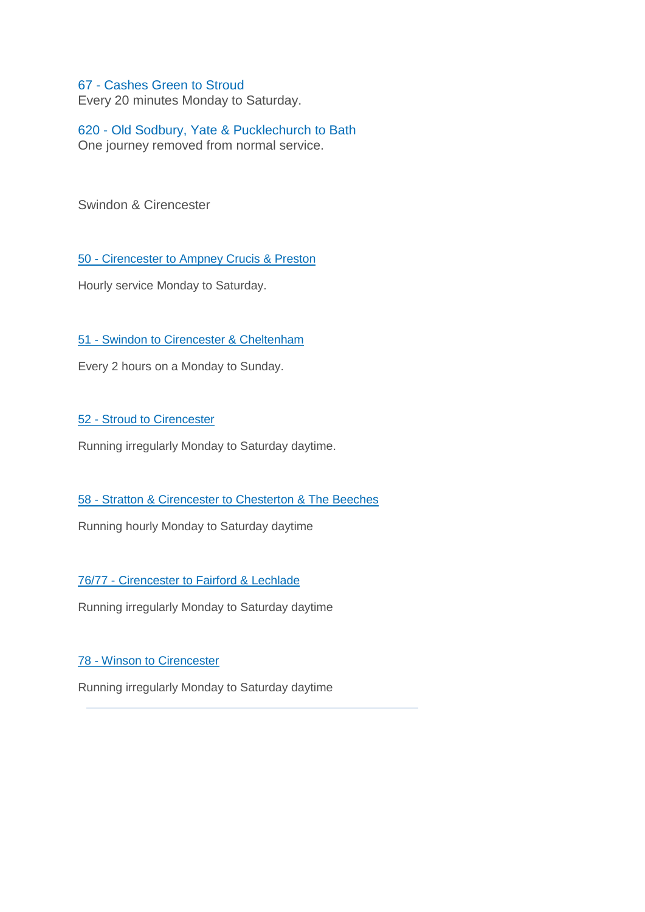# 67 - [Cashes Green to Stroud](https://tiscon-maps-stagecoachbus.s3.amazonaws.com/Timetables/West/Temporary/67.pdf)

Every 20 minutes Monday to Saturday.

# 620 - [Old Sodbury, Yate & Pucklechurch to Bath](https://tiscon-maps-stagecoachbus.s3.amazonaws.com/Timetables/West/Temporary/620.pdf) One journey removed from normal service.

Swindon & Cirencester

50 - [Cirencester to Ampney Crucis & Preston](https://tiscon-maps-stagecoachbus.s3.amazonaws.com/Timetables/West/Temporary/50.pdf)

Hourly service Monday to Saturday.

51 - [Swindon to Cirencester & Cheltenham](https://tiscon-maps-stagecoachbus.s3.amazonaws.com/Timetables/West/Temporary/51.pdf)

Every 2 hours on a Monday to Sunday.

52 - [Stroud to Cirencester](https://tiscon-maps-stagecoachbus.s3.amazonaws.com/Timetables/West/Temporary/52.pdf)

Running irregularly Monday to Saturday daytime.

58 - [Stratton & Cirencester to Chesterton & The Beeches](https://tiscon-maps-stagecoachbus.s3.amazonaws.com/Timetables/West/Temporary/58.pdf)

Running hourly Monday to Saturday daytime

76/77 - [Cirencester to Fairford & Lechlade](https://tiscon-maps-stagecoachbus.s3.amazonaws.com/Timetables/West/Temporary/7677.pdf)

Running irregularly Monday to Saturday daytime

# 78 - [Winson to Cirencester](https://tiscon-maps-stagecoachbus.s3.amazonaws.com/Timetables/West/Temporary/78.pdf)

Running irregularly Monday to Saturday daytime